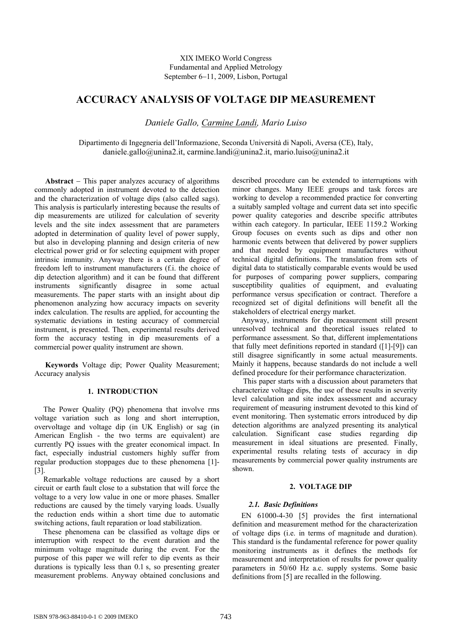XIX IMEKO World Congress Fundamental and Applied Metrology September 6–11, 2009, Lisbon, Portugal

# **ACCURACY ANALYSIS OF VOLTAGE DIP MEASUREMENT**

*Daniele Gallo, Carmine Landi, Mario Luiso* 

Dipartimento di Ingegneria dell'Informazione, Seconda Università di Napoli, Aversa (CE), Italy, daniele.gallo@unina2.it, carmine.landi@unina2.it, mario.luiso@unina2.it

**Abstract** – This paper analyzes accuracy of algorithms commonly adopted in instrument devoted to the detection and the characterization of voltage dips (also called sags). This analysis is particularly interesting because the results of dip measurements are utilized for calculation of severity levels and the site index assessment that are parameters adopted in determination of quality level of power supply, but also in developing planning and design criteria of new electrical power grid or for selecting equipment with proper intrinsic immunity. Anyway there is a certain degree of freedom left to instrument manufacturers (f.i. the choice of dip detection algorithm) and it can be found that different instruments significantly disagree in some actual measurements. The paper starts with an insight about dip phenomenon analyzing how accuracy impacts on severity index calculation. The results are applied, for accounting the systematic deviations in testing accuracy of commercial instrument, is presented. Then, experimental results derived form the accuracy testing in dip measurements of a commercial power quality instrument are shown.

**Keywords** Voltage dip; Power Quality Measurement; Accuracy analysis

# **1. INTRODUCTION**

The Power Quality (PQ) phenomena that involve rms voltage variation such as long and short interruption, overvoltage and voltage dip (in UK English) or sag (in American English - the two terms are equivalent) are currently PQ issues with the greater economical impact. In fact, especially industrial customers highly suffer from regular production stoppages due to these phenomena [1]- [3].

Remarkable voltage reductions are caused by a short circuit or earth fault close to a substation that will force the voltage to a very low value in one or more phases. Smaller reductions are caused by the timely varying loads. Usually the reduction ends within a short time due to automatic switching actions, fault reparation or load stabilization.

These phenomena can be classified as voltage dips or interruption with respect to the event duration and the minimum voltage magnitude during the event. For the purpose of this paper we will refer to dip events as their durations is typically less than 0.1 s, so presenting greater measurement problems. Anyway obtained conclusions and described procedure can be extended to interruptions with minor changes. Many IEEE groups and task forces are working to develop a recommended practice for converting a suitably sampled voltage and current data set into specific power quality categories and describe specific attributes within each category. In particular, IEEE 1159.2 Working Group focuses on events such as dips and other non harmonic events between that delivered by power suppliers and that needed by equipment manufactures without technical digital definitions. The translation from sets of digital data to statistically comparable events would be used for purposes of comparing power suppliers, comparing susceptibility qualities of equipment, and evaluating performance versus specification or contract. Therefore a recognized set of digital definitions will benefit all the stakeholders of electrical energy market.

Anyway, instruments for dip measurement still present unresolved technical and theoretical issues related to performance assessment. So that, different implementations that fully meet definitions reported in standard ([1]-[9]) can still disagree significantly in some actual measurements. Mainly it happens, because standards do not include a well defined procedure for their performance characterization.

This paper starts with a discussion about parameters that characterize voltage dips, the use of these results in severity level calculation and site index assessment and accuracy requirement of measuring instrument devoted to this kind of event monitoring. Then systematic errors introduced by dip detection algorithms are analyzed presenting its analytical calculation. Significant case studies regarding dip measurement in ideal situations are presented. Finally, experimental results relating tests of accuracy in dip measurements by commercial power quality instruments are shown.

# **2. VOLTAGE DIP**

# *2.1. Basic Definitions*

EN 61000-4-30 [5] provides the first international definition and measurement method for the characterization of voltage dips (i.e. in terms of magnitude and duration). This standard is the fundamental reference for power quality monitoring instruments as it defines the methods for measurement and interpretation of results for power quality parameters in 50/60 Hz a.c. supply systems. Some basic definitions from [5] are recalled in the following.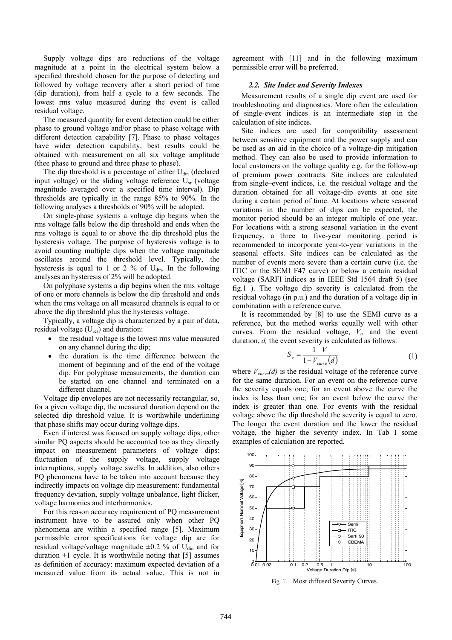Supply voltage dips are reductions of the voltage magnitude at a point in the electrical system below a specified threshold chosen for the purpose of detecting and followed by voltage recovery after a short period of time (dip duration), from half a cycle to a few seconds. The lowest rms value measured during the event is called residual voltage.

The measured quantity for event detection could be either phase to ground voltage and/or phase to phase voltage with different detection capability [7]. Phase to phase voltages have wider detection capability, best results could be obtained with measurement on all six voltage amplitude (thee phase to ground and three phase to phase).

The dip threshold is a percentage of either  $U_{\text{din}}$  (declared input voltage) or the sliding voltage reference  $U_{sr}$  (voltage magnitude averaged over a specified time interval). Dip thresholds are typically in the range 85% to 90%. In the following analyses a thresholds of 90% will be adopted.

On single-phase systems a voltage dip begins when the rms voltage falls below the dip threshold and ends when the rms voltage is equal to or above the dip threshold plus the hysteresis voltage. The purpose of hysteresis voltage is to avoid counting multiple dips when the voltage magnitude oscillates around the threshold level. Typically, the hysteresis is equal to 1 or 2 % of  $U_{\text{dim}}$ . In the following analyses an hysteresis of 2% will be adopted.

On polyphase systems a dip begins when the rms voltage of one or more channels is below the dip threshold and ends when the rms voltage on all measured channels is equal to or above the dip threshold plus the hysteresis voltage.

Typically, a voltage dip is characterized by a pair of data, residual voltage  $(U_{res})$  and duration:

- the residual voltage is the lowest rms value measured on any channel during the dip;
- the duration is the time difference between the moment of beginning and of the end of the voltage dip. For polyphase measurements, the duration can be started on one channel and terminated on a different channel.

Voltage dip envelopes are not necessarily rectangular, so, for a given voltage dip, the measured duration depend on the selected dip threshold value. It is worthwhile underlining that phase shifts may occur during voltage dips.

Even if interest was focused on supply voltage dips, other similar PQ aspects should be accounted too as they directly impact on measurement parameters of voltage dips: fluctuation of the supply voltage, supply voltage interruptions, supply voltage swells. In addition, also others PQ phenomena have to be taken into account because they indirectly impacts on voltage dip measurement: fundamental frequency deviation, supply voltage unbalance, light flicker, voltage harmonics and interharmonics.

For this reason accuracy requirement of PQ measurement instrument have to be assured only when other PQ phenomena are within a specified range [5]. Maximum permissible error specifications for voltage dip are for residual voltage/voltage magnitude  $\pm 0.2$  % of U<sub>din</sub> and for duration  $\pm 1$  cycle. It is worthwhile noting that [5] assumes as definition of accuracy: maximum expected deviation of a measured value from its actual value. This is not in agreement with [11] and in the following maximum permissible error will be preferred.

# *2.2. Site Index and Severity Indexes*

Measurement results of a single dip event are used for troubleshooting and diagnostics. More often the calculation of single-event indices is an intermediate step in the calculation of site indices.

Site indices are used for compatibility assessment between sensitive equipment and the power supply and can be used as an aid in the choice of a voltage-dip mitigation method. They can also be used to provide information to local customers on the voltage quality e.g. for the follow-up of premium power contracts. Site indices are calculated from single–event indices, i.e. the residual voltage and the duration obtained for all voltage-dip events at one site during a certain period of time. At locations where seasonal variations in the number of dips can be expected, the monitor period should be an integer multiple of one year. For locations with a strong seasonal variation in the event frequency, a three to five-year monitoring period is recommended to incorporate year-to-year variations in the seasonal effects. Site indices can be calculated as the number of events more severe than a certain curve (i.e. the ITIC or the SEMI F47 curve) or below a certain residual voltage (SARFI indices as in IEEE Std 1564 draft 5) (see fig.1 ). The voltage dip severity is calculated from the residual voltage (in p.u.) and the duration of a voltage dip in combination with a reference curve.

It is recommended by [8] to use the SEMI curve as a reference, but the method works equally well with other curves. From the residual voltage,  $V<sub>p</sub>$  and the event duration, *d*, the event severity is calculated as follows:

$$
S_e = \frac{1 - V}{1 - V_{curve}(d)}\tag{1}
$$

where  $V_{curve}(d)$  is the residual voltage of the reference curve for the same duration. For an event on the reference curve the severity equals one; for an event above the curve the index is less than one; for an event below the curve the index is greater than one. For events with the residual voltage above the dip threshold the severity is equal to zero. The longer the event duration and the lower the residual voltage, the higher the severity index. In Tab I some examples of calculation are reported.



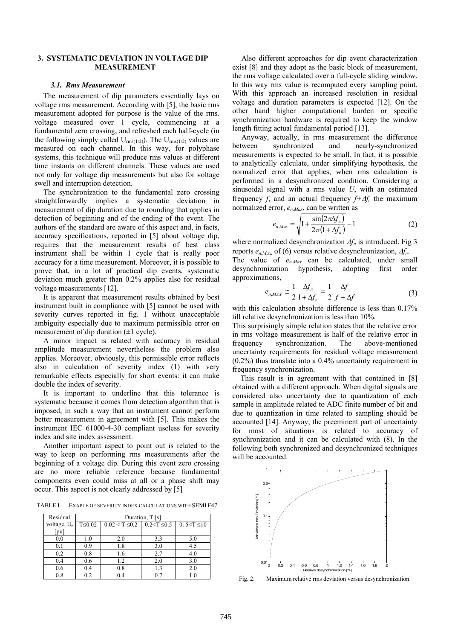# **3. SYSTEMATIC DEVIATION IN VOLTAGE DIP MEASUREMENT**

#### *3.1. Rms Measurement*

The measurement of dip parameters essentially lays on voltage rms measurement. According with [5], the basic rms measurement adopted for purpose is the value of the rms. voltage measured over 1 cycle, commencing at a fundamental zero crossing, and refreshed each half-cycle (in the following simply called  $U_{\text{rms}(1/2)}$ ). The  $U_{\text{rms}(1/2)}$  values are measured on each channel. In this way, for polyphase systems, this technique will produce rms values at different time instants on different channels. These values are used not only for voltage dip measurements but also for voltage swell and interruption detection.

The synchronization to the fundamental zero crossing straightforwardly implies a systematic deviation in measurement of dip duration due to rounding that applies in detection of beginning and of the ending of the event. The authors of the standard are aware of this aspect and, in facts, accuracy specifications, reported in [5] about voltage dip, requires that the measurement results of best class instrument shall be within 1 cycle that is really poor accuracy for a time measurement. Moreover, it is possible to prove that, in a lot of practical dip events, systematic deviation much greater than 0.2% applies also for residual voltage measurements [12].

It is apparent that measurement results obtained by best instrument built in compliance with [5] cannot be used with severity curves reported in fig. 1 without unacceptable ambiguity especially due to maximum permissible error on measurement of dip duration  $(\pm 1 \text{ cycle})$ .

A minor impact is related with accuracy in residual amplitude measurement nevertheless the problem also applies. Moreover, obviously, this permissible error reflects also in calculation of severity index (1) with very remarkable effects especially for short events: it can make double the index of severity.

It is important to underline that this tolerance is systematic because it comes from detection algorithm that is imposed, in such a way that an instrument cannot perform better measurement in agreement with [5]. This makes the instrument IEC 61000-4-30 compliant useless for severity index and site index assessment.

Another important aspect to point out is related to the way to keep on performing rms measurements after the beginning of a voltage dip. During this event zero crossing are no more reliable reference because fundamental components even could miss at all or a phase shift may occur. This aspect is not clearly addressed by [5]

TABLE I. EXAPLE OF SEVERITY INDEX CALCULATIONS WITH SEMI F47

| Residual                | Duration, T [s] |                                          |     |                        |  |  |  |
|-------------------------|-----------------|------------------------------------------|-----|------------------------|--|--|--|
| voltage, U <sub>r</sub> | $T \leq 0.02$   | $0.02 \le T \le 0.2$ 0.2 $\le T \le 0.5$ |     | 0.5 $\leq$ T $\leq$ 10 |  |  |  |
| [pu]                    |                 |                                          |     |                        |  |  |  |
| 0.0                     | 1.0             | 2.0                                      | 3.3 | 5.0                    |  |  |  |
| 0.1                     | 0.9             | 1.8                                      | 3.0 | 4.5                    |  |  |  |
| 0.2                     | 0.8             | 1.6                                      | 2.7 | 4.0                    |  |  |  |
| 0.4                     | 0.6             | 1.2                                      | 2.0 | 3.0                    |  |  |  |
| 0.6                     | 0.4             | 0.8                                      | 1.3 | 2.0                    |  |  |  |
| 0.8                     | 0.2             | 0.4                                      | 07  |                        |  |  |  |

Also different approaches for dip event characterization exist [8] and they adopt as the basic block of measurement, the rms voltage calculated over a full-cycle sliding window. In this way rms value is recomputed every sampling point. With this approach an increased resolution in residual voltage and duration parameters is expected [12]. On the other hand higher computational burden or specific synchronization hardware is required to keep the window length fitting actual fundamental period [13].

Anyway, actually, in rms measurement the difference between synchronized and nearly-synchronized measurements is expected to be small. In fact, it is possible to analytically calculate, under simplifying hypothesis, the normalized error that applies, when rms calculation is performed in a desynchronized condition. Considering a sinusoidal signal with a rms value *U*, with an estimated frequency *f*, and an actual frequency  $f + \Delta f$ , the maximum normalized error, *en,Max*, can be written as

$$
e_{n,Max} = \sqrt{1 + \frac{\sin(2\pi\Delta f_n)}{2\pi(1 + \Delta f_n)}} - 1
$$
 (2)

where normalized desynchronization  $\Delta f_n$  is introduced. Fig 3 reports  $e_n_{\text{Max}}$  of (6) versus relative desynchronization,  $\Delta f_n$ . The value of *en,Max* can be calculated, under small desynchronization hypothesis, adopting first order approximations,

$$
e_{n,MAX} \cong \frac{1}{2} \frac{\Delta f_n}{1 + \Delta f_n} = \frac{1}{2} \frac{\Delta f}{f + \Delta f}
$$
 (3)

with this calculation absolute difference is less than  $0.17\%$ till relative desynchronization is less than 10%.

This surprisingly simple relation states that the relative error in rms voltage measurement is half of the relative error in frequency synchronization. The above-mentioned uncertainty requirements for residual voltage measurement (0.2%) thus translate into a 0.4% uncertainty requirement in frequency synchronization.

This result is in agreement with that contained in [8] obtained with a different approach. When digital signals are considered also uncertainty due to quantization of each sample in amplitude related to ADC finite number of bit and due to quantization in time related to sampling should be accounted [14]. Anyway, the preeminent part of uncertainty for most of situations is related to accuracy of synchronization and it can be calculated with (8). In the following both synchronized and desynchronized techniques will be accounted.



Fig. 2. Maximum relative rms deviation versus desynchronization.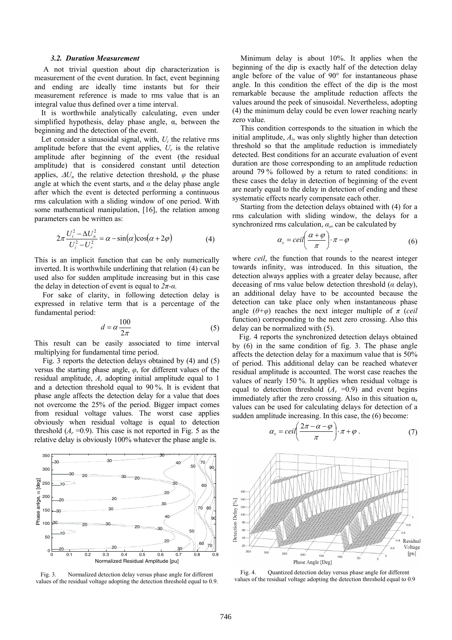#### *3.2. Duration Measurement*

A not trivial question about dip characterization is measurement of the event duration. In fact, event beginning and ending are ideally time instants but for their measurement reference is made to rms value that is an integral value thus defined over a time interval.

It is worthwhile analytically calculating, even under simplified hypothesis, delay phase angle,  $\alpha$ , between the beginning and the detection of the event.

Let consider a sinusoidal signal, with, *Ui* the relative rms amplitude before that the event applies,  $U_r$  is the relative amplitude after beginning of the event (the residual amplitude) that is considered constant until detection applies,  $\Delta U_n$  the relative detection threshold,  $\varphi$  the phase angle at which the event starts, and  $\alpha$  the delay phase angle after which the event is detected performing a continuous rms calculation with a sliding window of one period. With some mathematical manipulation, [16], the relation among parameters can be written as:

$$
2\pi \frac{U_i^2 - \Delta U_n^2}{U_i^2 - U_r^2} = \alpha - \sin(\alpha)\cos(\alpha + 2\varphi)
$$
 (4)

This is an implicit function that can be only numerically inverted. It is worthwhile underlining that relation (4) can be used also for sudden amplitude increasing but in this case the delay in detection of event is equal to  $2\pi$ - $\alpha$ *.* 

For sake of clarity, in following detection delay is expressed in relative term that is a percentage of the fundamental period:

$$
d = \alpha \frac{100}{2\pi} \tag{5}
$$

This result can be easily associated to time interval multiplying for fundamental time period.

Fig. 3 reports the detection delays obtained by (4) and (5) versus the starting phase angle, *φ*, for different values of the residual amplitude, *Ar* adopting initial amplitude equal to 1 and a detection threshold equal to 90 %. It is evident that phase angle affects the detection delay for a value that does not overcome the 25% of the period. Bigger impact comes from residual voltage values. The worst case applies obviously when residual voltage is equal to detection threshold  $(A_r = 0.9)$ . This case is not reported in Fig. 5 as the relative delay is obviously 100% whatever the phase angle is.



Fig. 3. Normalized detection delay versus phase angle for different values of the residual voltage adopting the detection threshold equal to 0.9.

Minimum delay is about 10%. It applies when the beginning of the dip is exactly half of the detection delay angle before of the value of 90° for instantaneous phase angle. In this condition the effect of the dip is the most remarkable because the amplitude reduction affects the values around the peek of sinusoidal. Nevertheless, adopting (4) the minimum delay could be even lower reaching nearly zero value.

This condition corresponds to the situation in which the initial amplitude, *Ai*, was only slightly higher than detection threshold so that the amplitude reduction is immediately detected. Best conditions for an accurate evaluation of event duration are those corresponding to an amplitude reduction around 79 % followed by a return to rated conditions: in these cases the delay in detection of beginning of the event are nearly equal to the delay in detection of ending and these systematic effects nearly compensate each other.

Starting from the detection delays obtained with (4) for a rms calculation with sliding window, the delays for a synchronized rms calculation,  $\alpha_s$ , can be calculated by

$$
\alpha_s = \text{ceil}\left(\frac{\alpha + \varphi}{\pi}\right) \cdot \pi - \varphi \tag{6}
$$

where *ceil*, the function that rounds to the nearest integer towards infinity, was introduced. In this situation, the detection always applies with a greater delay because, after deceasing of rms value below detection threshold (*α* delay), an additional delay have to be accounted because the detection can take place only when instantaneous phase angle  $(\theta + \varphi)$  reaches the next integer multiple of  $\pi$  (*ceil* function) corresponding to the next zero crossing. Also this delay can be normalized with (5).

Fig. 4 reports the synchronized detection delays obtained by (6) in the same condition of fig. 3. The phase angle affects the detection delay for a maximum value that is 50% of period. This additional delay can be reached whatever residual amplitude is accounted. The worst case reaches the values of nearly 150 %. It applies when residual voltage is equal to detection threshold  $(A_r = 0.9)$  and event begins immediately after the zero crossing. Also in this situation  $\alpha_s$ values can be used for calculating delays for detection of a sudden amplitude increasing. In this case, the (6) become:

$$
\alpha_s = ceil\left(\frac{2\pi - \alpha - \varphi}{\pi}\right) \cdot \pi + \varphi \ . \tag{7}
$$



Fig. 4. Quantized detection delay versus phase angle for different values of the residual voltage adopting the detection threshold equal to 0.9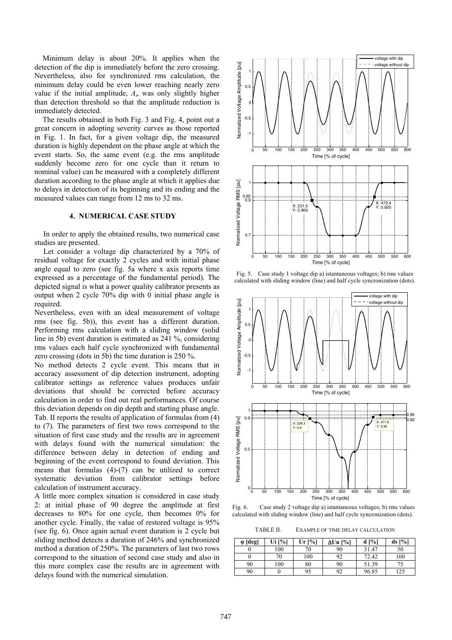Minimum delay is about 20%. It applies when the detection of the dip is immediately before the zero crossing. Nevertheless, also for synchronized rms calculation, the minimum delay could be even lower reaching nearly zero value if the initial amplitude, *Ai*, was only slightly higher than detection threshold so that the amplitude reduction is immediately detected.

The results obtained in both Fig. 3 and Fig. 4, point out a great concern in adopting severity curves as those reported in Fig. 1. In fact, for a given voltage dip, the measured duration is highly dependent on the phase angle at which the event starts. So, the same event (e.g. the rms amplitude suddenly become zero for one cycle than it return to nominal value) can be measured with a completely different duration according to the phase angle at which it applies due to delays in detection of its beginning and its ending and the measured values can range from 12 ms to 32 ms.

### **4. NUMERICAL CASE STUDY**

In order to apply the obtained results, two numerical case studies are presented.

Let consider a voltage dip characterized by a 70% of residual voltage for exactly 2 cycles and with initial phase angle equal to zero (see fig. 5a where x axis reports time expressed as a percentage of the fundamental period). The depicted signal is what a power quality calibrator presents as output when 2 cycle 70% dip with 0 initial phase angle is required.

Nevertheless, even with an ideal measurement of voltage rms (see fig. 5b)), this event has a different duration. Performing rms calculation with a sliding window (solid line in 5b) event duration is estimated as 241 %, considering rms values each half cycle synchronized with fundamental zero crossing (dots in 5b) the time duration is 250 %.

No method detects 2 cycle event. This means that in accuracy assessment of dip detection instrument, adopting calibrator settings as reference values produces unfair deviations that should be corrected before accuracy calculation in order to find out real performances. Of course this deviation depends on dip depth and starting phase angle. Tab. II reports the results of application of formulas from (4) to (7). The parameters of first two rows correspond to the situation of first case study and the results are in agreement with delays found with the numerical simulation: the difference between delay in detection of ending and beginning of the event correspond to found deviation. This means that formulas (4)-(7) can be utilized to correct systematic deviation from calibrator settings before calculation of instrument accuracy.

A little more complex situation is considered in case study 2: at initial phase of 90 degree the amplitude at first decreases to 80% for one cycle, then becomes 0% for another cycle. Finally, the value of restored voltage is 95% (see fig. 6). Once again actual event duration is 2 cycle but sliding method detects a duration of 246% and synchronized method a duration of 250%. The parameters of last two rows correspond to the situation of second case study and also in this more complex case the results are in agreement with delays found with the numerical simulation.



Fig. 5. Case study 1 voltage dip a) istantaneous voltages; b) rms values calculated with sliding window (line) and half cycle syncronization (dots).



Fig. 6. Case study 2 voltage dip a) istantaneous voltages; b) rms values calculated with sliding window (line) and half cycle syncronization (dots).

TABLE II. EXAMPLE OF TIME DELAY CALCULATION

| $\varphi$ [deg] | Ui [%] | Ur [%] | ∆Un [%] | $d \frac{9}{6}$ | $ds$ [%] |
|-----------------|--------|--------|---------|-----------------|----------|
|                 | 100    | 70     | 90      | 31.47           | 50       |
|                 | 70     | 100    | 92      | 72.42           | 100      |
| 90              | 100    | 80     | 90      | 51.39           |          |
| 90              |        | 95     | 92      | 96.85           | 125      |